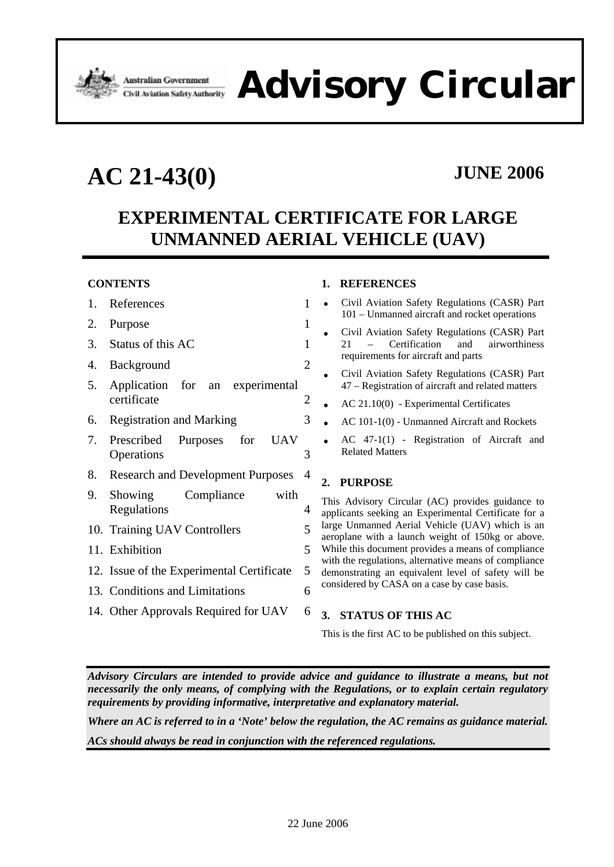

**Advisory Circular**

**AC 21-43(0) JUNE 2006**

# **EXPERIMENTAL CERTIFICATE FOR LARGE UNMANNED AERIAL VEHICLE (UAV)**

### **CONTENTS**

| 1. | References                                          | $\mathbf{1}$   |
|----|-----------------------------------------------------|----------------|
| 2. | Purpose                                             | 1              |
|    | 3. Status of this AC                                | 1              |
| 4. | Background                                          | $\overline{2}$ |
| 5. | Application for an experimental<br>certificate      | $\overline{c}$ |
| 6. | <b>Registration and Marking</b>                     | 3              |
| 7. | Prescribed Purposes for<br><b>UAV</b><br>Operations | 3              |
| 8. | <b>Research and Development Purposes</b>            | $\overline{4}$ |
| 9. | Showing Compliance<br>with<br>Regulations           | 4              |
|    | 10. Training UAV Controllers                        | 5              |
|    | 11. Exhibition                                      | 5              |
|    | 12. Issue of the Experimental Certificate           | 5              |
|    | 13. Conditions and Limitations                      | 6              |
|    | 14. Other Approvals Required for UAV                | 6              |

#### **1. REFERENCES**

- Civil Aviation Safety Regulations (CASR) Part 101 – Unmanned aircraft and rocket operations
- Civil Aviation Safety Regulations (CASR) Part 21 – Certification and airworthiness requirements for aircraft and parts
- Civil Aviation Safety Regulations (CASR) Part 47 – Registration of aircraft and related matters
- AC 21.10(0) Experimental Certificates
- AC 101-1(0) Unmanned Aircraft and Rockets
- AC 47-1(1) Registration of Aircraft and Related Matters

### **2. PURPOSE**

This Advisory Circular (AC) provides guidance to applicants seeking an Experimental Certificate for a large Unmanned Aerial Vehicle (UAV) which is an aeroplane with a launch weight of 150kg or above. While this document provides a means of compliance with the regulations, alternative means of compliance demonstrating an equivalent level of safety will be considered by CASA on a case by case basis.

#### **3. STATUS OF THIS AC**

This is the first AC to be published on this subject.

*Advisory Circulars are intended to provide advice and guidance to illustrate a means, but not necessarily the only means, of complying with the Regulations, or to explain certain regulatory requirements by providing informative, interpretative and explanatory material.* 

*Where an AC is referred to in a 'Note' below the regulation, the AC remains as guidance material. ACs should always be read in conjunction with the referenced regulations.*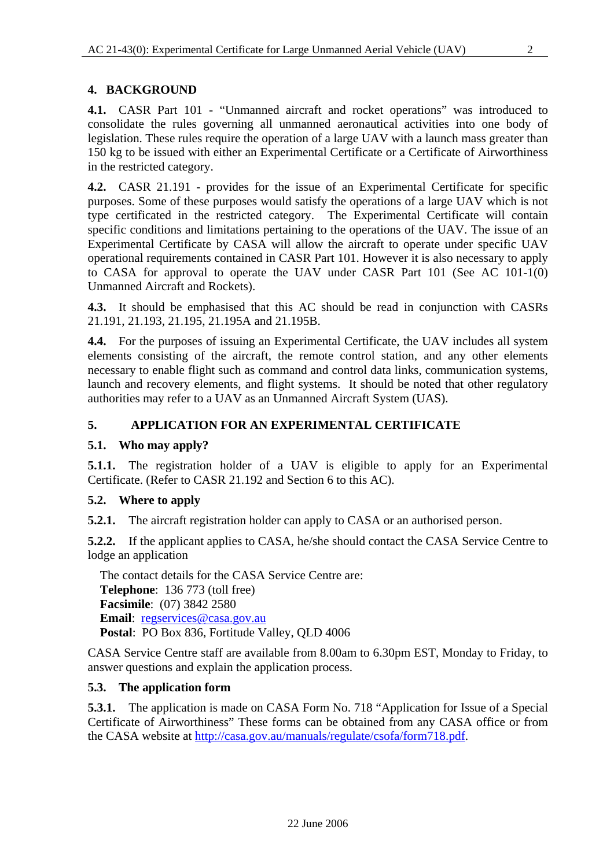## **4. BACKGROUND**

**4.1.** CASR Part 101 - "Unmanned aircraft and rocket operations" was introduced to consolidate the rules governing all unmanned aeronautical activities into one body of legislation. These rules require the operation of a large UAV with a launch mass greater than 150 kg to be issued with either an Experimental Certificate or a Certificate of Airworthiness in the restricted category.

**4.2.** CASR 21.191 - provides for the issue of an Experimental Certificate for specific purposes. Some of these purposes would satisfy the operations of a large UAV which is not type certificated in the restricted category. The Experimental Certificate will contain specific conditions and limitations pertaining to the operations of the UAV. The issue of an Experimental Certificate by CASA will allow the aircraft to operate under specific UAV operational requirements contained in CASR Part 101. However it is also necessary to apply to CASA for approval to operate the UAV under CASR Part 101 (See AC 101-1(0) Unmanned Aircraft and Rockets).

**4.3.** It should be emphasised that this AC should be read in conjunction with CASRs 21.191, 21.193, 21.195, 21.195A and 21.195B.

**4.4.** For the purposes of issuing an Experimental Certificate, the UAV includes all system elements consisting of the aircraft, the remote control station, and any other elements necessary to enable flight such as command and control data links, communication systems, launch and recovery elements, and flight systems. It should be noted that other regulatory authorities may refer to a UAV as an Unmanned Aircraft System (UAS).

## **5. APPLICATION FOR AN EXPERIMENTAL CERTIFICATE**

## **5.1. Who may apply?**

**5.1.1.** The registration holder of a UAV is eligible to apply for an Experimental Certificate. (Refer to CASR 21.192 and Section 6 to this AC).

## **5.2. Where to apply**

**5.2.1.** The aircraft registration holder can apply to CASA or an authorised person.

**5.2.2.** If the applicant applies to CASA, he/she should contact the CASA Service Centre to lodge an application

The contact details for the CASA Service Centre are: **Telephone**: 136 773 (toll free) **Facsimile**: (07) 3842 2580 **Email**: regservices@casa.gov.au **Postal**: PO Box 836, Fortitude Valley, QLD 4006

CASA Service Centre staff are available from 8.00am to 6.30pm EST, Monday to Friday, to answer questions and explain the application process.

## **5.3. The application form**

**5.3.1.** The application is made on CASA Form No. 718 "Application for Issue of a Special Certificate of Airworthiness" These forms can be obtained from any CASA office or from the CASA website at http://casa.gov.au/manuals/regulate/csofa/form718.pdf.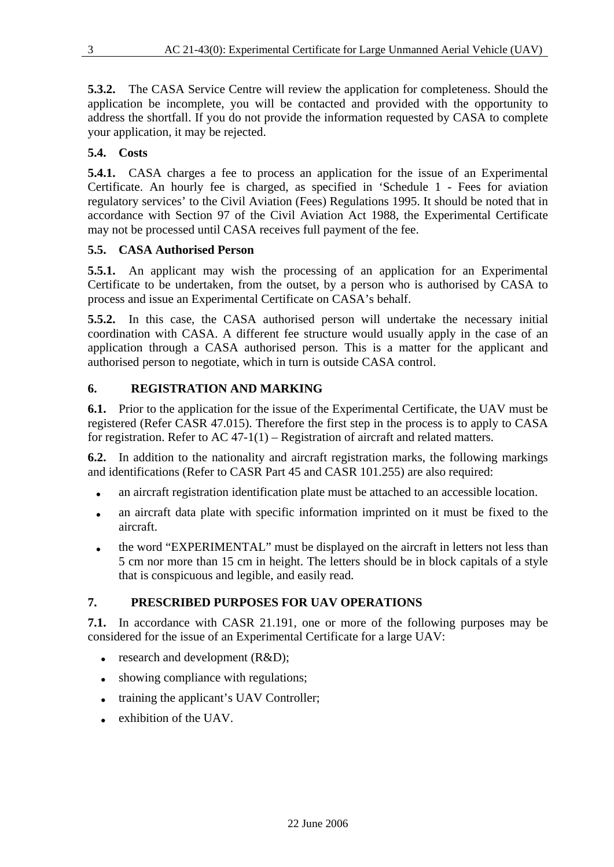**5.3.2.** The CASA Service Centre will review the application for completeness. Should the application be incomplete, you will be contacted and provided with the opportunity to address the shortfall. If you do not provide the information requested by CASA to complete your application, it may be rejected.

## **5.4. Costs**

**5.4.1.** CASA charges a fee to process an application for the issue of an Experimental Certificate. An hourly fee is charged, as specified in 'Schedule 1 - Fees for aviation regulatory services' to the Civil Aviation (Fees) Regulations 1995. It should be noted that in accordance with Section 97 of the Civil Aviation Act 1988, the Experimental Certificate may not be processed until CASA receives full payment of the fee.

## **5.5. CASA Authorised Person**

**5.5.1.** An applicant may wish the processing of an application for an Experimental Certificate to be undertaken, from the outset, by a person who is authorised by CASA to process and issue an Experimental Certificate on CASA's behalf.

**5.5.2.** In this case, the CASA authorised person will undertake the necessary initial coordination with CASA. A different fee structure would usually apply in the case of an application through a CASA authorised person. This is a matter for the applicant and authorised person to negotiate, which in turn is outside CASA control.

## **6. REGISTRATION AND MARKING**

**6.1.** Prior to the application for the issue of the Experimental Certificate, the UAV must be registered (Refer CASR 47.015). Therefore the first step in the process is to apply to CASA for registration. Refer to AC 47-1(1) – Registration of aircraft and related matters.

**6.2.** In addition to the nationality and aircraft registration marks, the following markings and identifications (Refer to CASR Part 45 and CASR 101.255) are also required:

- an aircraft registration identification plate must be attached to an accessible location.
- an aircraft data plate with specific information imprinted on it must be fixed to the aircraft.
- the word "EXPERIMENTAL" must be displayed on the aircraft in letters not less than 5 cm nor more than 15 cm in height. The letters should be in block capitals of a style that is conspicuous and legible, and easily read.

## **7. PRESCRIBED PURPOSES FOR UAV OPERATIONS**

**7.1.** In accordance with CASR 21.191, one or more of the following purposes may be considered for the issue of an Experimental Certificate for a large UAV:

- $\bullet$  research and development (R&D);
- showing compliance with regulations;
- training the applicant's UAV Controller;
- exhibition of the UAV.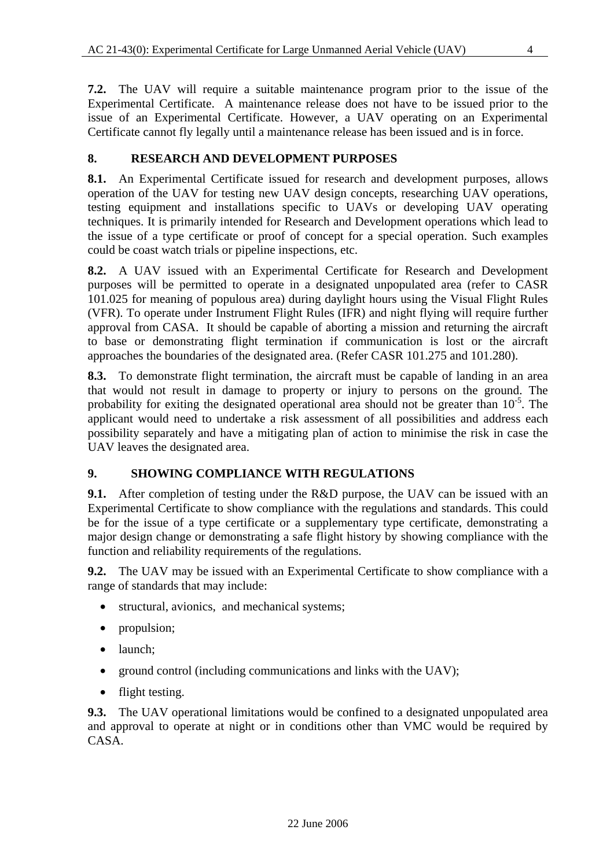**7.2.** The UAV will require a suitable maintenance program prior to the issue of the Experimental Certificate. A maintenance release does not have to be issued prior to the issue of an Experimental Certificate. However, a UAV operating on an Experimental Certificate cannot fly legally until a maintenance release has been issued and is in force.

## **8. RESEARCH AND DEVELOPMENT PURPOSES**

**8.1.** An Experimental Certificate issued for research and development purposes, allows operation of the UAV for testing new UAV design concepts, researching UAV operations, testing equipment and installations specific to UAVs or developing UAV operating techniques. It is primarily intended for Research and Development operations which lead to the issue of a type certificate or proof of concept for a special operation. Such examples could be coast watch trials or pipeline inspections, etc.

**8.2.** A UAV issued with an Experimental Certificate for Research and Development purposes will be permitted to operate in a designated unpopulated area (refer to CASR 101.025 for meaning of populous area) during daylight hours using the Visual Flight Rules (VFR). To operate under Instrument Flight Rules (IFR) and night flying will require further approval from CASA. It should be capable of aborting a mission and returning the aircraft to base or demonstrating flight termination if communication is lost or the aircraft approaches the boundaries of the designated area. (Refer CASR 101.275 and 101.280).

**8.3.** To demonstrate flight termination, the aircraft must be capable of landing in an area that would not result in damage to property or injury to persons on the ground. The probability for exiting the designated operational area should not be greater than  $10^{-5}$ . The applicant would need to undertake a risk assessment of all possibilities and address each possibility separately and have a mitigating plan of action to minimise the risk in case the UAV leaves the designated area.

### **9. SHOWING COMPLIANCE WITH REGULATIONS**

**9.1.** After completion of testing under the R&D purpose, the UAV can be issued with an Experimental Certificate to show compliance with the regulations and standards. This could be for the issue of a type certificate or a supplementary type certificate, demonstrating a major design change or demonstrating a safe flight history by showing compliance with the function and reliability requirements of the regulations.

**9.2.** The UAV may be issued with an Experimental Certificate to show compliance with a range of standards that may include:

- structural, avionics, and mechanical systems;
- propulsion;
- launch:
- ground control (including communications and links with the UAV);
- flight testing.

**9.3.** The UAV operational limitations would be confined to a designated unpopulated area and approval to operate at night or in conditions other than VMC would be required by CASA.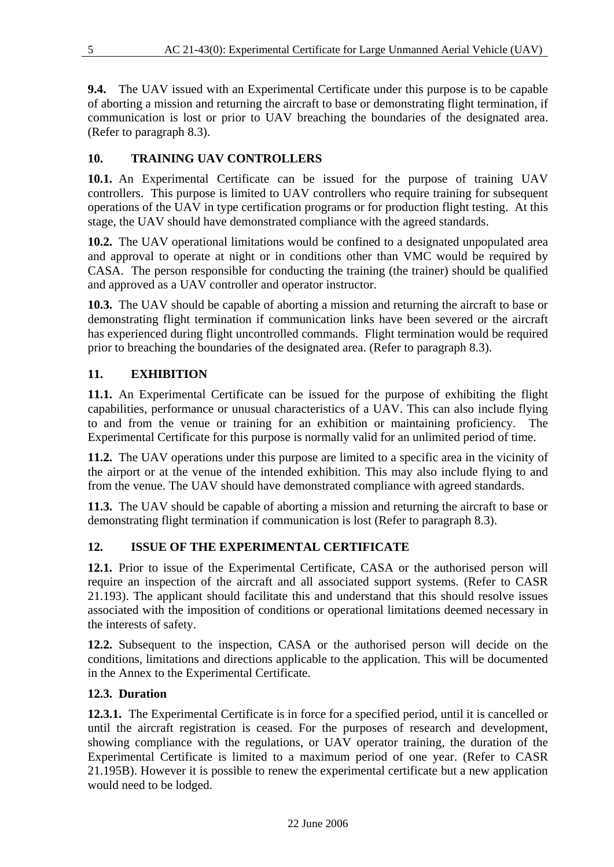**9.4.** The UAV issued with an Experimental Certificate under this purpose is to be capable of aborting a mission and returning the aircraft to base or demonstrating flight termination, if communication is lost or prior to UAV breaching the boundaries of the designated area. (Refer to paragraph 8.3).

## **10. TRAINING UAV CONTROLLERS**

**10.1.** An Experimental Certificate can be issued for the purpose of training UAV controllers. This purpose is limited to UAV controllers who require training for subsequent operations of the UAV in type certification programs or for production flight testing. At this stage, the UAV should have demonstrated compliance with the agreed standards.

**10.2.** The UAV operational limitations would be confined to a designated unpopulated area and approval to operate at night or in conditions other than VMC would be required by CASA. The person responsible for conducting the training (the trainer) should be qualified and approved as a UAV controller and operator instructor.

**10.3.** The UAV should be capable of aborting a mission and returning the aircraft to base or demonstrating flight termination if communication links have been severed or the aircraft has experienced during flight uncontrolled commands. Flight termination would be required prior to breaching the boundaries of the designated area. (Refer to paragraph 8.3).

## **11. EXHIBITION**

**11.1.** An Experimental Certificate can be issued for the purpose of exhibiting the flight capabilities, performance or unusual characteristics of a UAV. This can also include flying to and from the venue or training for an exhibition or maintaining proficiency. The Experimental Certificate for this purpose is normally valid for an unlimited period of time.

**11.2.** The UAV operations under this purpose are limited to a specific area in the vicinity of the airport or at the venue of the intended exhibition. This may also include flying to and from the venue. The UAV should have demonstrated compliance with agreed standards.

**11.3.** The UAV should be capable of aborting a mission and returning the aircraft to base or demonstrating flight termination if communication is lost (Refer to paragraph 8.3).

## **12. ISSUE OF THE EXPERIMENTAL CERTIFICATE**

**12.1.** Prior to issue of the Experimental Certificate, CASA or the authorised person will require an inspection of the aircraft and all associated support systems. (Refer to CASR 21.193). The applicant should facilitate this and understand that this should resolve issues associated with the imposition of conditions or operational limitations deemed necessary in the interests of safety.

**12.2.** Subsequent to the inspection, CASA or the authorised person will decide on the conditions, limitations and directions applicable to the application. This will be documented in the Annex to the Experimental Certificate.

### **12.3. Duration**

**12.3.1.** The Experimental Certificate is in force for a specified period, until it is cancelled or until the aircraft registration is ceased. For the purposes of research and development, showing compliance with the regulations, or UAV operator training, the duration of the Experimental Certificate is limited to a maximum period of one year. (Refer to CASR 21.195B). However it is possible to renew the experimental certificate but a new application would need to be lodged.